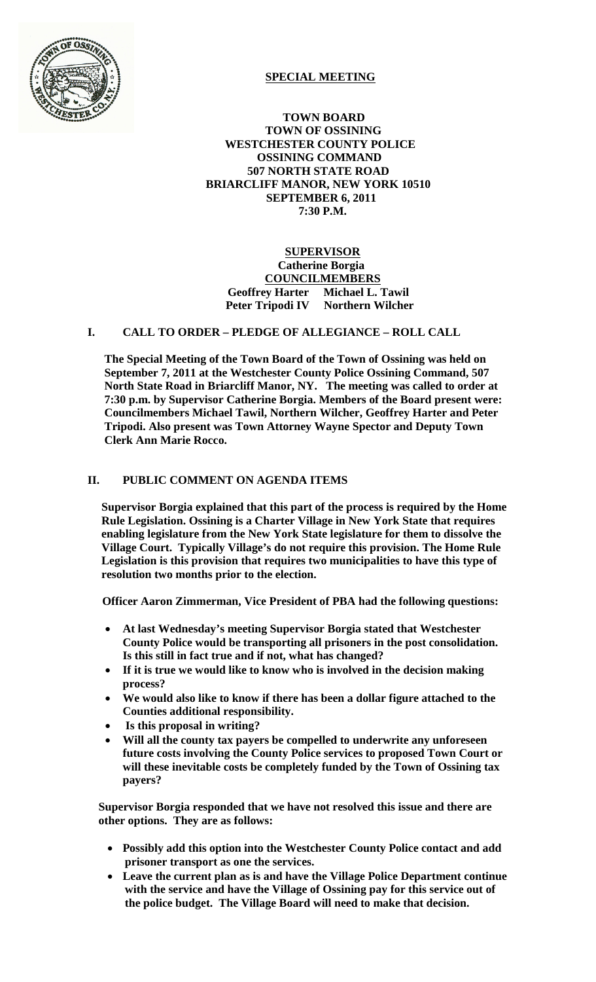

# **SPECIAL MEETING**

 **TOWN BOARD TOWN OF OSSINING WESTCHESTER COUNTY POLICE OSSINING COMMAND 507 NORTH STATE ROAD BRIARCLIFF MANOR, NEW YORK 10510 SEPTEMBER 6, 2011 7:30 P.M.**

 **SUPERVISOR Catherine Borgia COUNCILMEMBERS Geoffrey Harter Michael L. Tawil Peter Tripodi IV Northern Wilcher** 

## **I. CALL TO ORDER – PLEDGE OF ALLEGIANCE – ROLL CALL**

**The Special Meeting of the Town Board of the Town of Ossining was held on September 7, 2011 at the Westchester County Police Ossining Command, 507 North State Road in Briarcliff Manor, NY. The meeting was called to order at 7:30 p.m. by Supervisor Catherine Borgia. Members of the Board present were: Councilmembers Michael Tawil, Northern Wilcher, Geoffrey Harter and Peter Tripodi. Also present was Town Attorney Wayne Spector and Deputy Town Clerk Ann Marie Rocco.**

### **II. PUBLIC COMMENT ON AGENDA ITEMS**

**Supervisor Borgia explained that this part of the process is required by the Home Rule Legislation. Ossining is a Charter Village in New York State that requires enabling legislature from the New York State legislature for them to dissolve the Village Court. Typically Village's do not require this provision. The Home Rule Legislation is this provision that requires two municipalities to have this type of resolution two months prior to the election.** 

 **Officer Aaron Zimmerman, Vice President of PBA had the following questions:**

- **At last Wednesday's meeting Supervisor Borgia stated that Westchester County Police would be transporting all prisoners in the post consolidation. Is this still in fact true and if not, what has changed?**
- **If it is true we would like to know who is involved in the decision making process?**
- **We would also like to know if there has been a dollar figure attached to the Counties additional responsibility.**
- **Is this proposal in writing?**
- **Will all the county tax payers be compelled to underwrite any unforeseen future costs involving the County Police services to proposed Town Court or will these inevitable costs be completely funded by the Town of Ossining tax payers?**

**Supervisor Borgia responded that we have not resolved this issue and there are other options. They are as follows:**

- **Possibly add this option into the Westchester County Police contact and add prisoner transport as one the services.**
- **Leave the current plan as is and have the Village Police Department continue with the service and have the Village of Ossining pay for this service out of the police budget. The Village Board will need to make that decision.**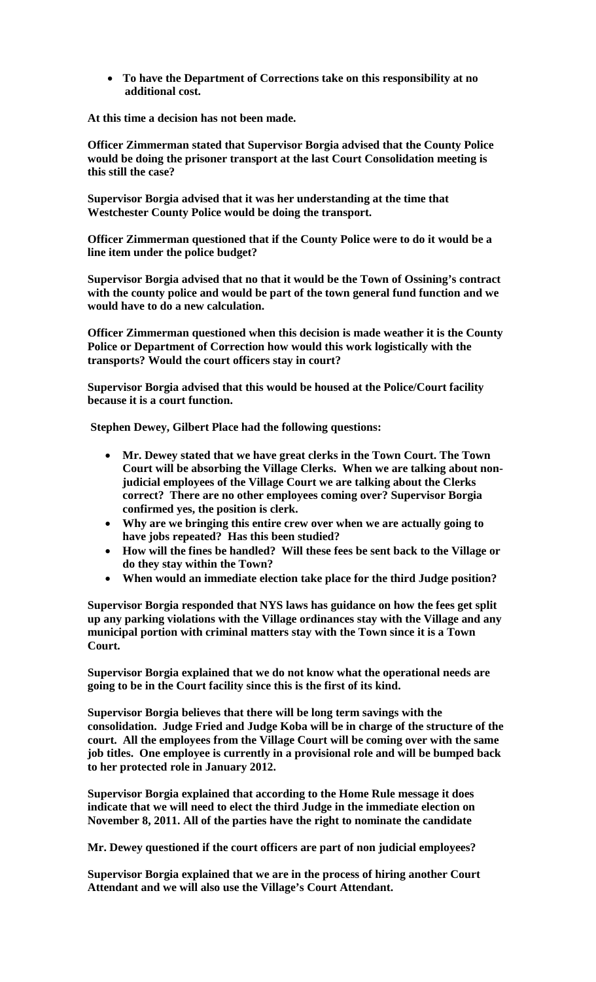• **To have the Department of Corrections take on this responsibility at no additional cost.** 

**At this time a decision has not been made.**

**Officer Zimmerman stated that Supervisor Borgia advised that the County Police would be doing the prisoner transport at the last Court Consolidation meeting is this still the case?**

**Supervisor Borgia advised that it was her understanding at the time that Westchester County Police would be doing the transport.**

**Officer Zimmerman questioned that if the County Police were to do it would be a line item under the police budget?**

**Supervisor Borgia advised that no that it would be the Town of Ossining's contract with the county police and would be part of the town general fund function and we would have to do a new calculation.** 

**Officer Zimmerman questioned when this decision is made weather it is the County Police or Department of Correction how would this work logistically with the transports? Would the court officers stay in court?**

**Supervisor Borgia advised that this would be housed at the Police/Court facility because it is a court function.**

**Stephen Dewey, Gilbert Place had the following questions:**

- **Mr. Dewey stated that we have great clerks in the Town Court. The Town Court will be absorbing the Village Clerks. When we are talking about nonjudicial employees of the Village Court we are talking about the Clerks correct? There are no other employees coming over? Supervisor Borgia confirmed yes, the position is clerk.**
- **Why are we bringing this entire crew over when we are actually going to have jobs repeated? Has this been studied?**
- **How will the fines be handled? Will these fees be sent back to the Village or do they stay within the Town?**
- **When would an immediate election take place for the third Judge position?**

**Supervisor Borgia responded that NYS laws has guidance on how the fees get split up any parking violations with the Village ordinances stay with the Village and any municipal portion with criminal matters stay with the Town since it is a Town Court.** 

**Supervisor Borgia explained that we do not know what the operational needs are going to be in the Court facility since this is the first of its kind.** 

**Supervisor Borgia believes that there will be long term savings with the consolidation. Judge Fried and Judge Koba will be in charge of the structure of the court. All the employees from the Village Court will be coming over with the same job titles. One employee is currently in a provisional role and will be bumped back to her protected role in January 2012.** 

**Supervisor Borgia explained that according to the Home Rule message it does indicate that we will need to elect the third Judge in the immediate election on November 8, 2011. All of the parties have the right to nominate the candidate**

**Mr. Dewey questioned if the court officers are part of non judicial employees?** 

**Supervisor Borgia explained that we are in the process of hiring another Court Attendant and we will also use the Village's Court Attendant.**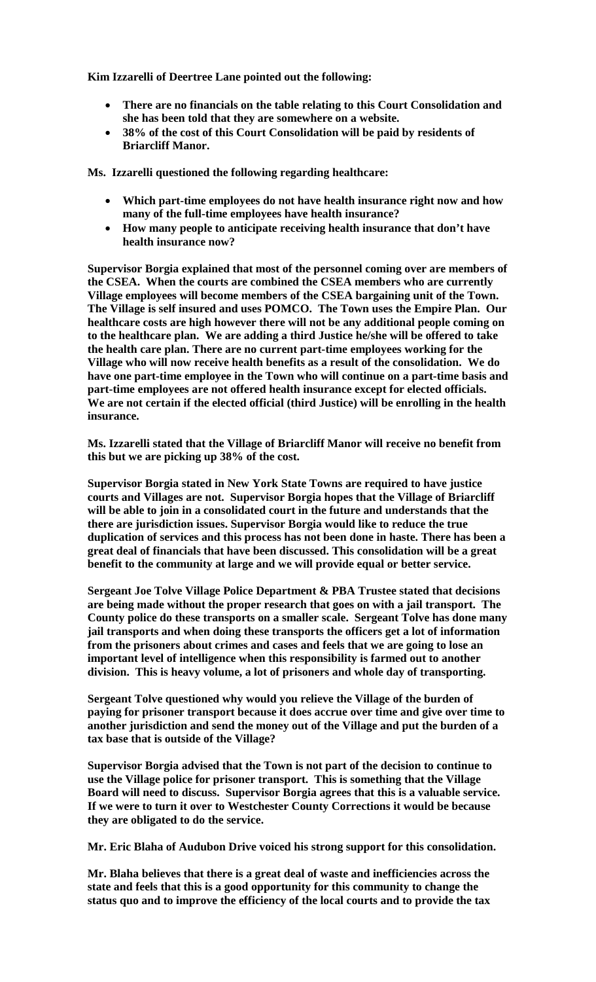**Kim Izzarelli of Deertree Lane pointed out the following:**

- **There are no financials on the table relating to this Court Consolidation and she has been told that they are somewhere on a website.**
- **38% of the cost of this Court Consolidation will be paid by residents of Briarcliff Manor.**

**Ms. Izzarelli questioned the following regarding healthcare:**

- **Which part-time employees do not have health insurance right now and how many of the full-time employees have health insurance?**
- **How many people to anticipate receiving health insurance that don't have health insurance now?**

**Supervisor Borgia explained that most of the personnel coming over are members of the CSEA. When the courts are combined the CSEA members who are currently Village employees will become members of the CSEA bargaining unit of the Town. The Village is self insured and uses POMCO. The Town uses the Empire Plan. Our healthcare costs are high however there will not be any additional people coming on to the healthcare plan. We are adding a third Justice he/she will be offered to take the health care plan. There are no current part-time employees working for the Village who will now receive health benefits as a result of the consolidation. We do have one part-time employee in the Town who will continue on a part-time basis and part-time employees are not offered health insurance except for elected officials. We are not certain if the elected official (third Justice) will be enrolling in the health insurance.**

**Ms. Izzarelli stated that the Village of Briarcliff Manor will receive no benefit from this but we are picking up 38% of the cost.**

**Supervisor Borgia stated in New York State Towns are required to have justice courts and Villages are not. Supervisor Borgia hopes that the Village of Briarcliff will be able to join in a consolidated court in the future and understands that the there are jurisdiction issues. Supervisor Borgia would like to reduce the true duplication of services and this process has not been done in haste. There has been a great deal of financials that have been discussed. This consolidation will be a great benefit to the community at large and we will provide equal or better service.**

**Sergeant Joe Tolve Village Police Department & PBA Trustee stated that decisions are being made without the proper research that goes on with a jail transport. The County police do these transports on a smaller scale. Sergeant Tolve has done many jail transports and when doing these transports the officers get a lot of information from the prisoners about crimes and cases and feels that we are going to lose an important level of intelligence when this responsibility is farmed out to another division. This is heavy volume, a lot of prisoners and whole day of transporting.**

**Sergeant Tolve questioned why would you relieve the Village of the burden of paying for prisoner transport because it does accrue over time and give over time to another jurisdiction and send the money out of the Village and put the burden of a tax base that is outside of the Village?**

**Supervisor Borgia advised that the Town is not part of the decision to continue to use the Village police for prisoner transport. This is something that the Village Board will need to discuss. Supervisor Borgia agrees that this is a valuable service. If we were to turn it over to Westchester County Corrections it would be because they are obligated to do the service.**

**Mr. Eric Blaha of Audubon Drive voiced his strong support for this consolidation.** 

**Mr. Blaha believes that there is a great deal of waste and inefficiencies across the state and feels that this is a good opportunity for this community to change the status quo and to improve the efficiency of the local courts and to provide the tax**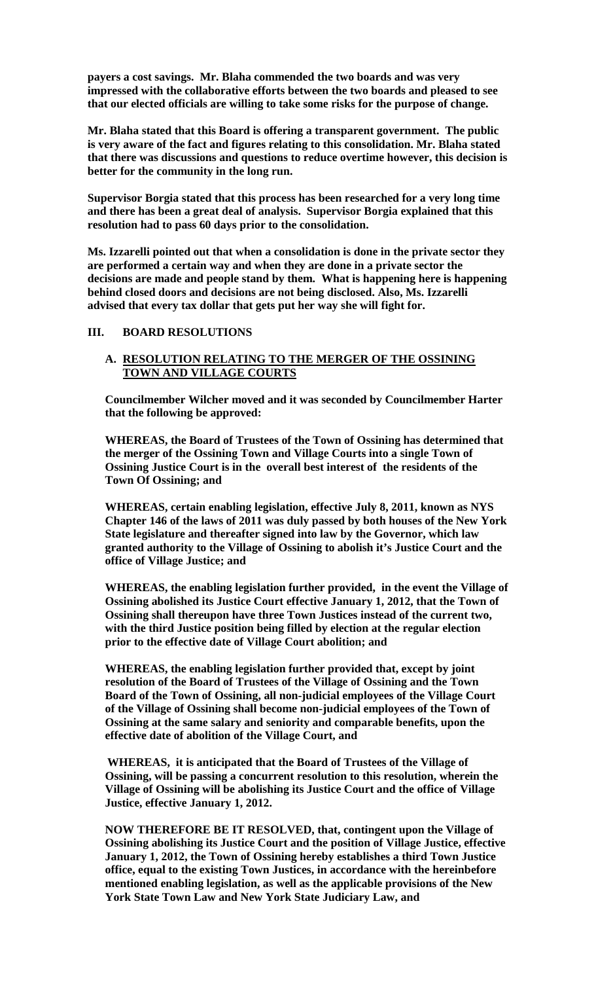**payers a cost savings. Mr. Blaha commended the two boards and was very impressed with the collaborative efforts between the two boards and pleased to see that our elected officials are willing to take some risks for the purpose of change.** 

**Mr. Blaha stated that this Board is offering a transparent government. The public is very aware of the fact and figures relating to this consolidation. Mr. Blaha stated that there was discussions and questions to reduce overtime however, this decision is better for the community in the long run.** 

**Supervisor Borgia stated that this process has been researched for a very long time and there has been a great deal of analysis. Supervisor Borgia explained that this resolution had to pass 60 days prior to the consolidation.** 

**Ms. Izzarelli pointed out that when a consolidation is done in the private sector they are performed a certain way and when they are done in a private sector the decisions are made and people stand by them. What is happening here is happening behind closed doors and decisions are not being disclosed. Also, Ms. Izzarelli advised that every tax dollar that gets put her way she will fight for.** 

#### **III. BOARD RESOLUTIONS**

#### **A. RESOLUTION RELATING TO THE MERGER OF THE OSSINING TOWN AND VILLAGE COURTS**

**Councilmember Wilcher moved and it was seconded by Councilmember Harter that the following be approved:**

**WHEREAS, the Board of Trustees of the Town of Ossining has determined that the merger of the Ossining Town and Village Courts into a single Town of Ossining Justice Court is in the overall best interest of the residents of the Town Of Ossining; and**

**WHEREAS, certain enabling legislation, effective July 8, 2011, known as NYS Chapter 146 of the laws of 2011 was duly passed by both houses of the New York State legislature and thereafter signed into law by the Governor, which law granted authority to the Village of Ossining to abolish it's Justice Court and the office of Village Justice; and**

**WHEREAS, the enabling legislation further provided, in the event the Village of Ossining abolished its Justice Court effective January 1, 2012, that the Town of Ossining shall thereupon have three Town Justices instead of the current two, with the third Justice position being filled by election at the regular election prior to the effective date of Village Court abolition; and**

**WHEREAS, the enabling legislation further provided that, except by joint resolution of the Board of Trustees of the Village of Ossining and the Town Board of the Town of Ossining, all non-judicial employees of the Village Court of the Village of Ossining shall become non-judicial employees of the Town of Ossining at the same salary and seniority and comparable benefits, upon the effective date of abolition of the Village Court, and**

**WHEREAS, it is anticipated that the Board of Trustees of the Village of Ossining, will be passing a concurrent resolution to this resolution, wherein the Village of Ossining will be abolishing its Justice Court and the office of Village Justice, effective January 1, 2012.**

**NOW THEREFORE BE IT RESOLVED, that, contingent upon the Village of Ossining abolishing its Justice Court and the position of Village Justice, effective January 1, 2012, the Town of Ossining hereby establishes a third Town Justice office, equal to the existing Town Justices, in accordance with the hereinbefore mentioned enabling legislation, as well as the applicable provisions of the New York State Town Law and New York State Judiciary Law, and**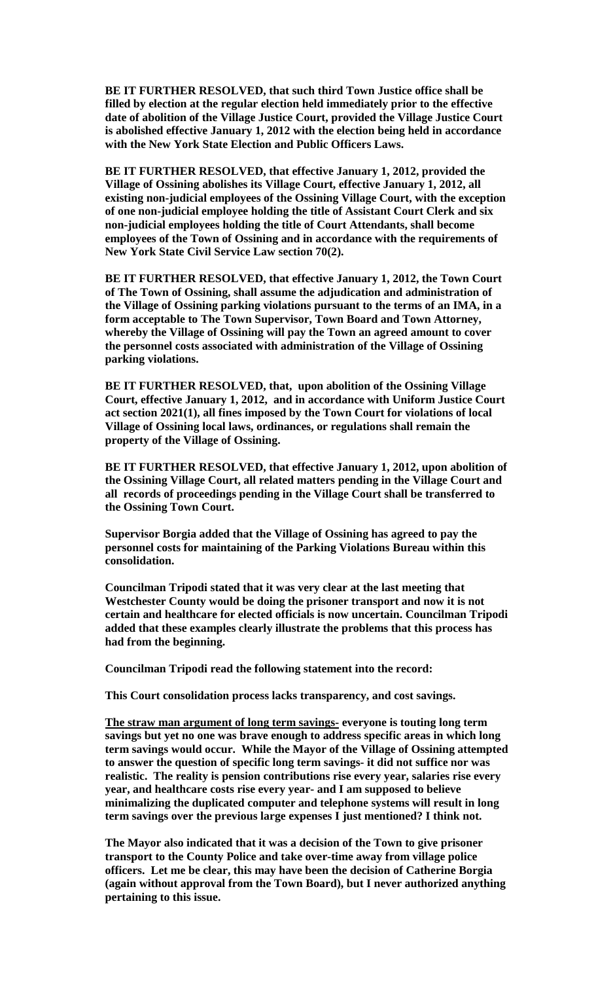**BE IT FURTHER RESOLVED, that such third Town Justice office shall be filled by election at the regular election held immediately prior to the effective date of abolition of the Village Justice Court, provided the Village Justice Court is abolished effective January 1, 2012 with the election being held in accordance with the New York State Election and Public Officers Laws.**

**BE IT FURTHER RESOLVED, that effective January 1, 2012, provided the Village of Ossining abolishes its Village Court, effective January 1, 2012, all existing non-judicial employees of the Ossining Village Court, with the exception of one non-judicial employee holding the title of Assistant Court Clerk and six non-judicial employees holding the title of Court Attendants, shall become employees of the Town of Ossining and in accordance with the requirements of New York State Civil Service Law section 70(2).**

**BE IT FURTHER RESOLVED, that effective January 1, 2012, the Town Court of The Town of Ossining, shall assume the adjudication and administration of the Village of Ossining parking violations pursuant to the terms of an IMA, in a form acceptable to The Town Supervisor, Town Board and Town Attorney, whereby the Village of Ossining will pay the Town an agreed amount to cover the personnel costs associated with administration of the Village of Ossining parking violations.**

**BE IT FURTHER RESOLVED, that, upon abolition of the Ossining Village Court, effective January 1, 2012, and in accordance with Uniform Justice Court act section 2021(1), all fines imposed by the Town Court for violations of local Village of Ossining local laws, ordinances, or regulations shall remain the property of the Village of Ossining.**

**BE IT FURTHER RESOLVED, that effective January 1, 2012, upon abolition of the Ossining Village Court, all related matters pending in the Village Court and all records of proceedings pending in the Village Court shall be transferred to the Ossining Town Court.**

**Supervisor Borgia added that the Village of Ossining has agreed to pay the personnel costs for maintaining of the Parking Violations Bureau within this consolidation.**

**Councilman Tripodi stated that it was very clear at the last meeting that Westchester County would be doing the prisoner transport and now it is not certain and healthcare for elected officials is now uncertain. Councilman Tripodi added that these examples clearly illustrate the problems that this process has had from the beginning.**

**Councilman Tripodi read the following statement into the record:**

**This Court consolidation process lacks transparency, and cost savings.**

**The straw man argument of long term savings- everyone is touting long term savings but yet no one was brave enough to address specific areas in which long term savings would occur. While the Mayor of the Village of Ossining attempted to answer the question of specific long term savings- it did not suffice nor was realistic. The reality is pension contributions rise every year, salaries rise every year, and healthcare costs rise every year- and I am supposed to believe minimalizing the duplicated computer and telephone systems will result in long term savings over the previous large expenses I just mentioned? I think not.** 

**The Mayor also indicated that it was a decision of the Town to give prisoner transport to the County Police and take over-time away from village police officers. Let me be clear, this may have been the decision of Catherine Borgia (again without approval from the Town Board), but I never authorized anything pertaining to this issue.**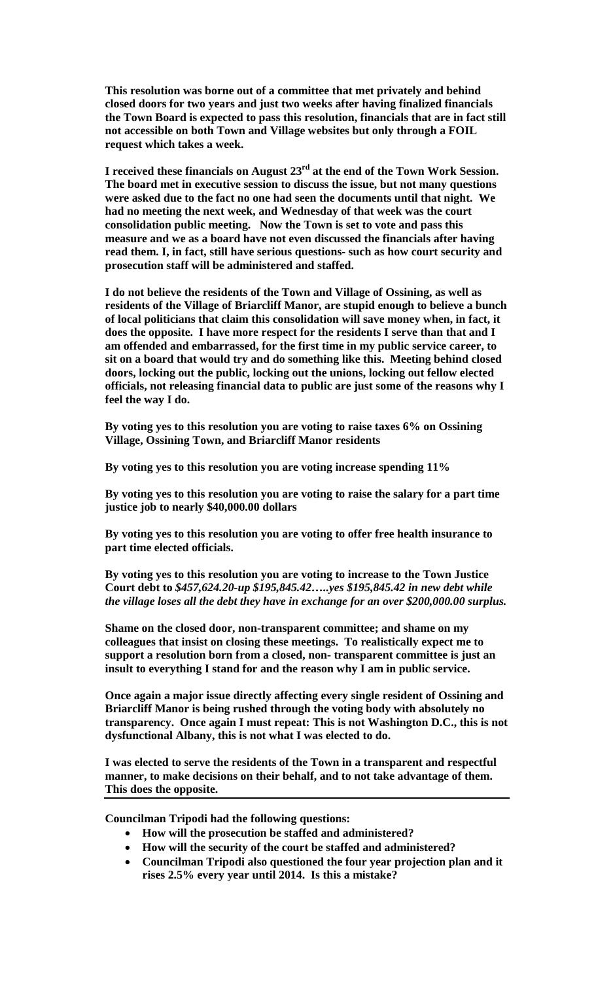**This resolution was borne out of a committee that met privately and behind closed doors for two years and just two weeks after having finalized financials the Town Board is expected to pass this resolution, financials that are in fact still not accessible on both Town and Village websites but only through a FOIL request which takes a week.** 

**I received these financials on August 23rd at the end of the Town Work Session. The board met in executive session to discuss the issue, but not many questions were asked due to the fact no one had seen the documents until that night. We had no meeting the next week, and Wednesday of that week was the court consolidation public meeting. Now the Town is set to vote and pass this measure and we as a board have not even discussed the financials after having read them. I, in fact, still have serious questions- such as how court security and prosecution staff will be administered and staffed.** 

**I do not believe the residents of the Town and Village of Ossining, as well as residents of the Village of Briarcliff Manor, are stupid enough to believe a bunch of local politicians that claim this consolidation will save money when, in fact, it does the opposite. I have more respect for the residents I serve than that and I am offended and embarrassed, for the first time in my public service career, to sit on a board that would try and do something like this. Meeting behind closed doors, locking out the public, locking out the unions, locking out fellow elected officials, not releasing financial data to public are just some of the reasons why I feel the way I do.**

**By voting yes to this resolution you are voting to raise taxes 6% on Ossining Village, Ossining Town, and Briarcliff Manor residents**

**By voting yes to this resolution you are voting increase spending 11%**

**By voting yes to this resolution you are voting to raise the salary for a part time justice job to nearly \$40,000.00 dollars** 

**By voting yes to this resolution you are voting to offer free health insurance to part time elected officials.**

**By voting yes to this resolution you are voting to increase to the Town Justice Court debt to** *\$457,624.20-up \$195,845.42…..yes \$195,845.42 in new debt while the village loses all the debt they have in exchange for an over \$200,000.00 surplus.*

**Shame on the closed door, non-transparent committee; and shame on my colleagues that insist on closing these meetings. To realistically expect me to support a resolution born from a closed, non- transparent committee is just an insult to everything I stand for and the reason why I am in public service.** 

**Once again a major issue directly affecting every single resident of Ossining and Briarcliff Manor is being rushed through the voting body with absolutely no transparency. Once again I must repeat: This is not Washington D.C., this is not dysfunctional Albany, this is not what I was elected to do.**

**I was elected to serve the residents of the Town in a transparent and respectful manner, to make decisions on their behalf, and to not take advantage of them. This does the opposite.**

**Councilman Tripodi had the following questions:**

- **How will the prosecution be staffed and administered?**
- **How will the security of the court be staffed and administered?**
- **Councilman Tripodi also questioned the four year projection plan and it rises 2.5% every year until 2014. Is this a mistake?**